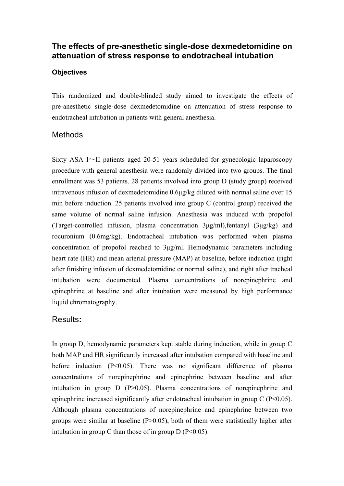# **The effects of pre-anesthetic single-dose dexmedetomidine on attenuation of stress response to endotracheal intubation**

#### **Objectives**

This randomized and double-blinded study aimed to investigate the effects of pre-anesthetic single-dose dexmedetomidine on attenuation of stress response to endotracheal intubation in patients with general anesthesia.

### **Methods**

Sixty ASA I $\sim$ II patients aged 20-51 years scheduled for gynecologic laparoscopy procedure with general anesthesia were randomly divided into two groups. The final enrollment was 53 patients. 28 patients involved into group D (study group) received intravenous infusion of dexmedetomidine 0.6µg/kg diluted with normal saline over 15 min before induction. 25 patients involved into group C (control group) received the same volume of normal saline infusion. Anesthesia was induced with propofol (Target-controlled infusion, plasma concentration 3µg/ml),fentanyl (3µg/kg) and rocuronium (0.6mg/kg). Endotracheal intubation was performed when plasma concentration of propofol reached to 3µg/ml. Hemodynamic parameters including heart rate (HR) and mean arterial pressure (MAP) at baseline, before induction (right after finishing infusion of dexmedetomidine or normal saline), and right after tracheal intubation were documented. Plasma concentrations of norepinephrine and epinephrine at baseline and after intubation were measured by high performance liquid chromatography.

### Results**:**

In group D, hemodynamic parameters kept stable during induction, while in group C both MAP and HR significantly increased after intubation compared with baseline and before induction (P<0.05). There was no significant difference of plasma concentrations of norepinephrine and epinephrine between baseline and after intubation in group  $D$  (P $>0.05$ ). Plasma concentrations of norepinephrine and epinephrine increased significantly after endotracheal intubation in group  $C$  (P<0.05). Although plasma concentrations of norepinephrine and epinephrine between two groups were similar at baseline  $(P>0.05)$ , both of them were statistically higher after intubation in group C than those of in group  $D (P<0.05)$ .